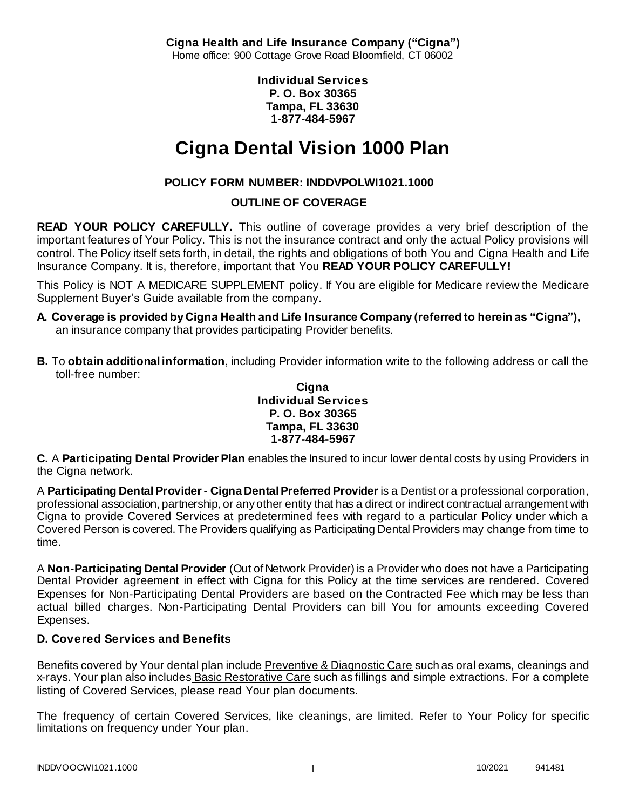**Cigna Health and Life Insurance Company ("Cigna")** Home office: 900 Cottage Grove Road Bloomfield, CT 06002

> **Individual Services P. O. Box 30365 Tampa, FL 33630 1-877-484-5967**

# **Cigna Dental Vision 1000 Plan**

# **POLICY FORM NUMBER: INDDVPOLWI1021.1000**

# **OUTLINE OF COVERAGE**

**READ YOUR POLICY CAREFULLY.** This outline of coverage provides a very brief description of the important features of Your Policy. This is not the insurance contract and only the actual Policy provisions will control. The Policy itself sets forth, in detail, the rights and obligations of both You and Cigna Health and Life Insurance Company. It is, therefore, important that You **READ YOUR POLICY CAREFULLY!** 

This Policy is NOT A MEDICARE SUPPLEMENT policy. If You are eligible for Medicare review the Medicare Supplement Buyer's Guide available from the company.

- **A. Coverage is provided by Cigna Health and Life Insurance Company (referred to herein as "Cigna"),**  an insurance company that provides participating Provider benefits.
- **B.** To **obtain additional information**, including Provider information write to the following address or call the toll-free number:

#### **Cigna Individual Services P. O. Box 30365 Tampa, FL 33630 1-877-484-5967**

**C.** A **Participating Dental Provider Plan** enables the Insured to incur lower dental costs by using Providers in the Cigna network.

A **Participating Dental Provider - Cigna Dental Preferred Provider** is a Dentist or a professional corporation, professional association, partnership, or any other entity that has a direct or indirect contractual arrangement with Cigna to provide Covered Services at predetermined fees with regard to a particular Policy under which a Covered Person is covered. The Providers qualifying as Participating Dental Providers may change from time to time.

A **Non-Participating Dental Provider** (Out of Network Provider) is a Provider who does not have a Participating Dental Provider agreement in effect with Cigna for this Policy at the time services are rendered. Covered Expenses for Non-Participating Dental Providers are based on the Contracted Fee which may be less than actual billed charges. Non-Participating Dental Providers can bill You for amounts exceeding Covered Expenses.

# **D. Covered Services and Benefits**

Benefits covered by Your dental plan include Preventive & Diagnostic Care such as oral exams, cleanings and x-rays. Your plan also includes Basic Restorative Care such as fillings and simple extractions. For a complete listing of Covered Services, please read Your plan documents.

The frequency of certain Covered Services, like cleanings, are limited. Refer to Your Policy for specific limitations on frequency under Your plan.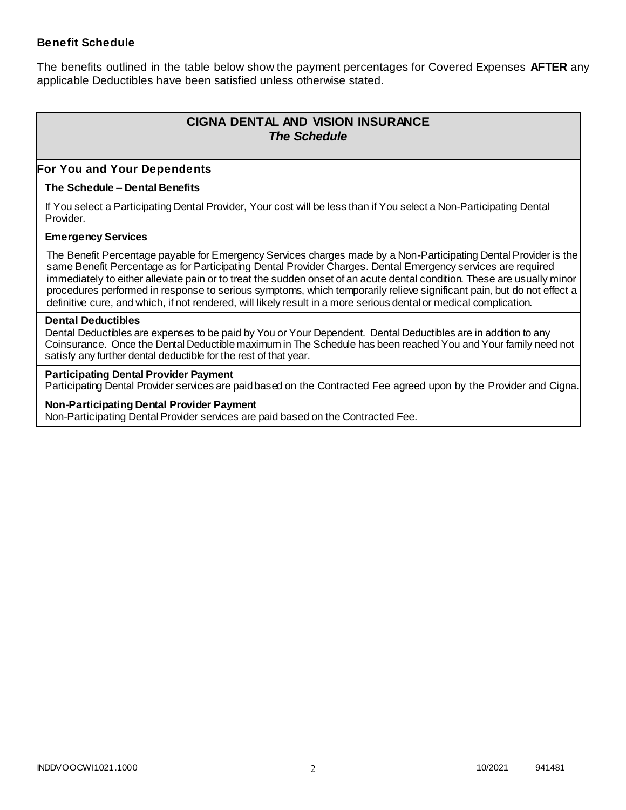### **Benefit Schedule**

The benefits outlined in the table below show the payment percentages for Covered Expenses **AFTER** any applicable Deductibles have been satisfied unless otherwise stated.

# **CIGNA DENTAL AND VISION INSURANCE** *The Schedule*

### **For You and Your Dependents**

#### **The Schedule – Dental Benefits**

If You select a Participating Dental Provider, Your cost will be less than if You select a Non-Participating Dental Provider.

#### **Emergency Services**

The Benefit Percentage payable for Emergency Services charges made by a Non-Participating Dental Provider is the same Benefit Percentage as for Participating Dental Provider Charges. Dental Emergency services are required immediately to either alleviate pain or to treat the sudden onset of an acute dental condition. These are usually minor procedures performed in response to serious symptoms, which temporarily relieve significant pain, but do not effect a definitive cure, and which, if not rendered, will likely result in a more serious dental or medical complication.

#### **Dental Deductibles**

Dental Deductibles are expenses to be paid by You or Your Dependent. Dental Deductibles are in addition to any Coinsurance. Once the Dental Deductible maximum in The Schedule has been reached You and Your family need not satisfy any further dental deductible for the rest of that year.

#### **Participating Dental Provider Payment**

Participating Dental Provider services are paid based on the Contracted Fee agreed upon by the Provider and Cigna.

**Non-Participating Dental Provider Payment** Non-Participating Dental Provider services are paid based on the Contracted Fee.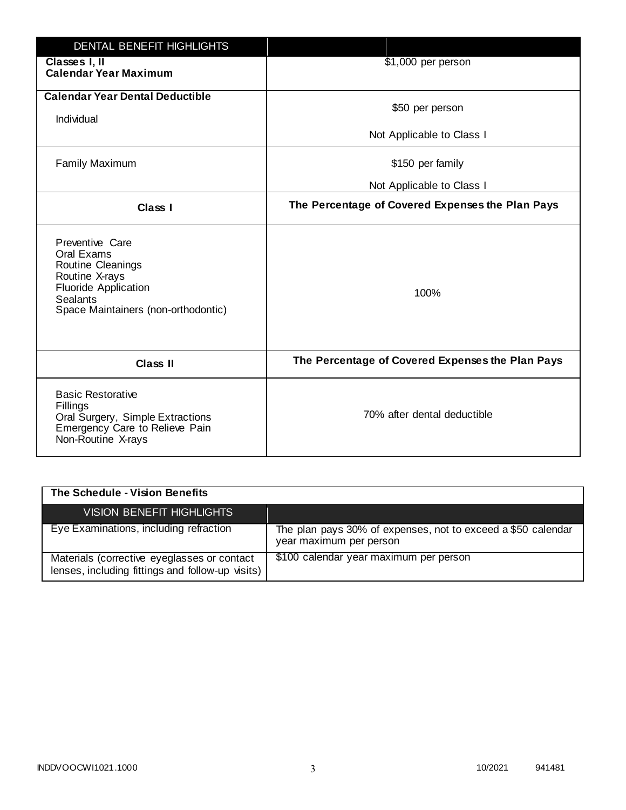| <b>DENTAL BENEFIT HIGHLIGHTS</b>                                                                                                                              |                                                  |
|---------------------------------------------------------------------------------------------------------------------------------------------------------------|--------------------------------------------------|
| Classes I, II<br><b>Calendar Year Maximum</b>                                                                                                                 | \$1,000 per person                               |
| <b>Calendar Year Dental Deductible</b><br>Individual                                                                                                          | \$50 per person                                  |
|                                                                                                                                                               | Not Applicable to Class I                        |
| <b>Family Maximum</b>                                                                                                                                         | \$150 per family                                 |
|                                                                                                                                                               | Not Applicable to Class I                        |
| <b>Class I</b>                                                                                                                                                | The Percentage of Covered Expenses the Plan Pays |
| Preventive Care<br>Oral Exams<br>Routine Cleanings<br>Routine X-rays<br><b>Fluoride Application</b><br><b>Sealants</b><br>Space Maintainers (non-orthodontic) | 100%                                             |
| <b>Class II</b>                                                                                                                                               | The Percentage of Covered Expenses the Plan Pays |
| <b>Basic Restorative</b><br>Fillings<br>Oral Surgery, Simple Extractions<br>Emergency Care to Relieve Pain<br>Non-Routine X-rays                              | 70% after dental deductible                      |

| The Schedule - Vision Benefits                                                                  |                                                                                         |
|-------------------------------------------------------------------------------------------------|-----------------------------------------------------------------------------------------|
| VISION BENEFIT HIGHLIGHTS                                                                       |                                                                                         |
| Eye Examinations, including refraction                                                          | The plan pays 30% of expenses, not to exceed a \$50 calendar<br>year maximum per person |
| Materials (corrective eyeglasses or contact<br>lenses, including fittings and follow-up visits) | \$100 calendar year maximum per person                                                  |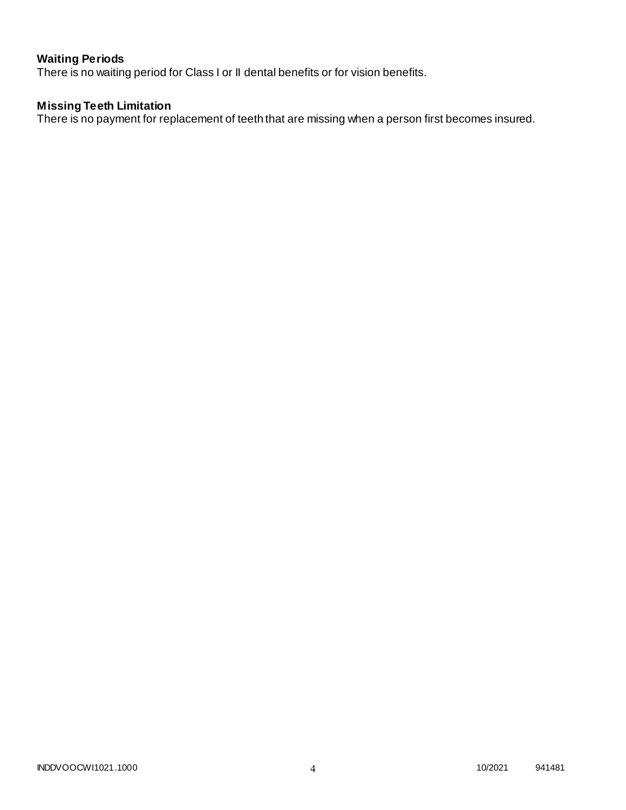# **Waiting Periods**

There is no waiting period for Class I or II dental benefits or for vision benefits.

### **Missing Teeth Limitation**

There is no payment for replacement of teeth that are missing when a person first becomes insured.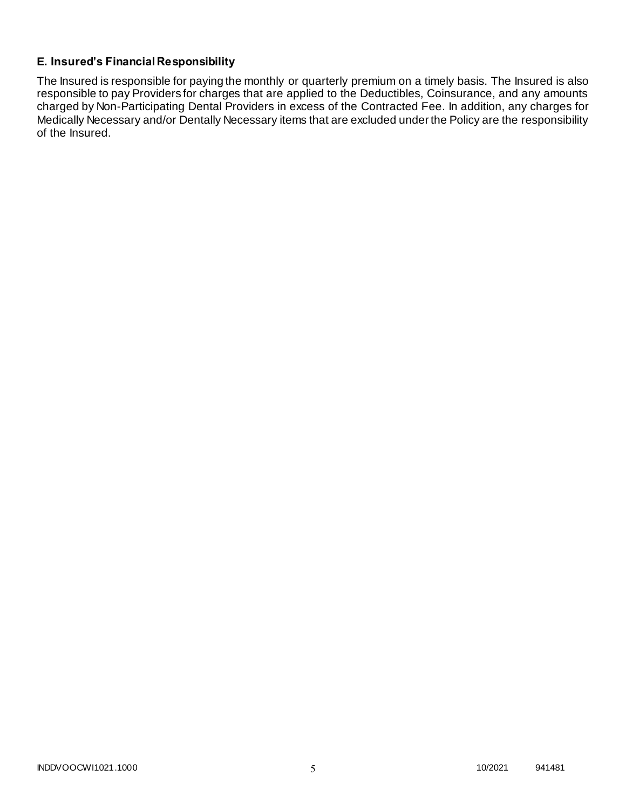# **E. Insured's Financial Responsibility**

The Insured is responsible for paying the monthly or quarterly premium on a timely basis. The Insured is also responsible to pay Providers for charges that are applied to the Deductibles, Coinsurance, and any amounts charged by Non-Participating Dental Providers in excess of the Contracted Fee. In addition, any charges for Medically Necessary and/or Dentally Necessary items that are excluded under the Policy are the responsibility of the Insured.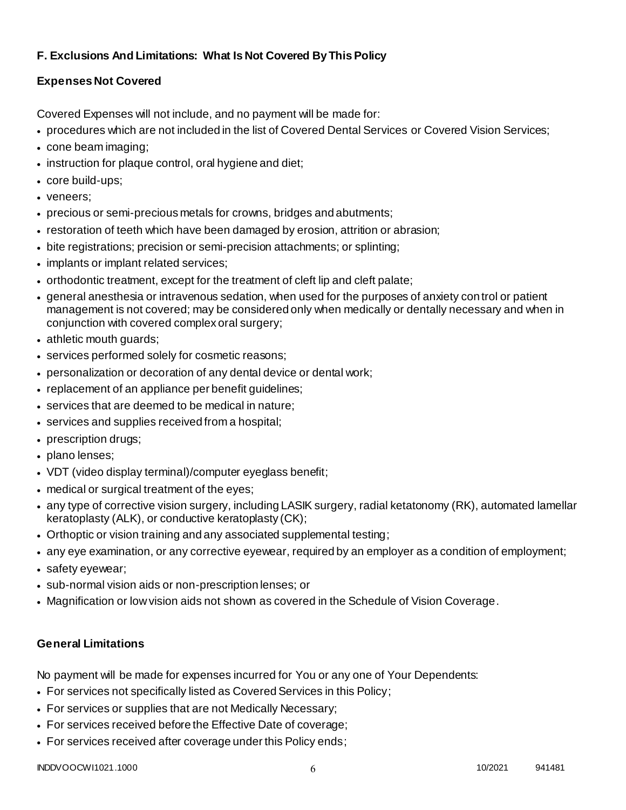# **F. Exclusions And Limitations: What Is Not Covered By This Policy**

# **Expenses Not Covered**

Covered Expenses will not include, and no payment will be made for:

- procedures which are not included in the list of Covered Dental Services or Covered Vision Services;
- cone beam imaging;
- instruction for plaque control, oral hygiene and diet;
- core build-ups;
- veneers;
- precious or semi-precious metals for crowns, bridges and abutments;
- restoration of teeth which have been damaged by erosion, attrition or abrasion;
- bite registrations; precision or semi-precision attachments; or splinting;
- implants or implant related services;
- orthodontic treatment, except for the treatment of cleft lip and cleft palate;
- general anesthesia or intravenous sedation, when used for the purposes of anxiety control or patient management is not covered; may be considered only when medically or dentally necessary and when in conjunction with covered complex oral surgery;
- athletic mouth guards;
- services performed solely for cosmetic reasons;
- personalization or decoration of any dental device or dental work;
- replacement of an appliance per benefit quidelines;
- services that are deemed to be medical in nature;
- services and supplies received from a hospital;
- prescription drugs;
- plano lenses;
- VDT (video display terminal)/computer eyeglass benefit;
- medical or surgical treatment of the eyes;
- any type of corrective vision surgery, including LASIK surgery, radial ketatonomy (RK), automated lamellar keratoplasty (ALK), or conductive keratoplasty (CK);
- Orthoptic or vision training and any associated supplemental testing;
- any eye examination, or any corrective eyewear, required by an employer as a condition of employment;
- safety eyewear;
- sub-normal vision aids or non-prescription lenses; or
- Magnification or low vision aids not shown as covered in the Schedule of Vision Coverage.

# **General Limitations**

No payment will be made for expenses incurred for You or any one of Your Dependents:

- For services not specifically listed as Covered Services in this Policy;
- For services or supplies that are not Medically Necessary;
- For services received before the Effective Date of coverage;
- For services received after coverage under this Policy ends;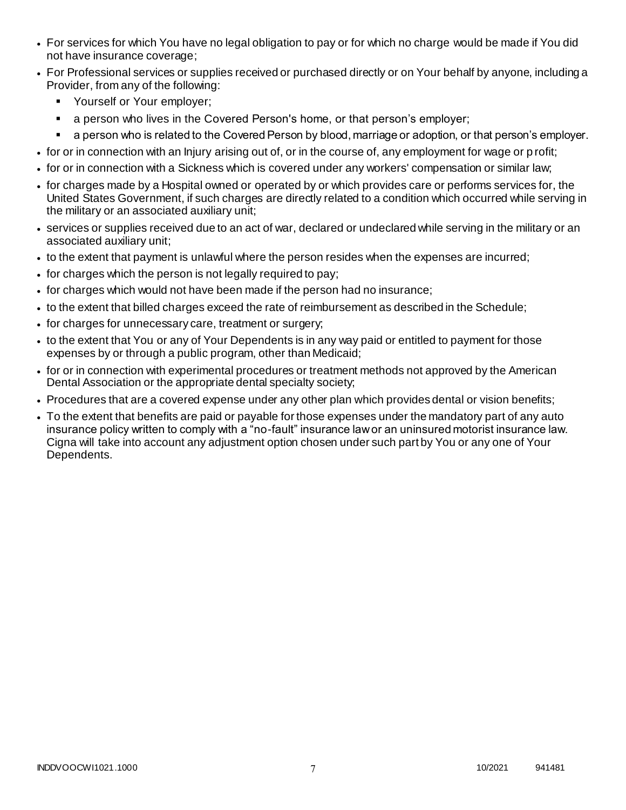- For services for which You have no legal obligation to pay or for which no charge would be made if You did not have insurance coverage;
- For Professional services or supplies received or purchased directly or on Your behalf by anyone, including a Provider, from any of the following:
	- **•** Yourself or Your employer;
	- **a** person who lives in the Covered Person's home, or that person's employer;
	- a person who is related to the Covered Person by blood, marriage or adoption, or that person's employer.
- for or in connection with an Injury arising out of, or in the course of, any employment for wage or p rofit;
- for or in connection with a Sickness which is covered under any workers' compensation or similar law;
- for charges made by a Hospital owned or operated by or which provides care or performs services for, the United States Government, if such charges are directly related to a condition which occurred while serving in the military or an associated auxiliary unit;
- services or supplies received due to an act of war, declared or undeclared while serving in the military or an associated auxiliary unit;
- to the extent that payment is unlawful where the person resides when the expenses are incurred;
- for charges which the person is not legally required to pay;
- for charges which would not have been made if the person had no insurance;
- to the extent that billed charges exceed the rate of reimbursement as described in the Schedule;
- for charges for unnecessary care, treatment or surgery;
- to the extent that You or any of Your Dependents is in any way paid or entitled to payment for those expenses by or through a public program, other than Medicaid;
- for or in connection with experimental procedures or treatment methods not approved by the American Dental Association or the appropriate dental specialty society;
- Procedures that are a covered expense under any other plan which provides dental or vision benefits;
- To the extent that benefits are paid or payable for those expenses under the mandatory part of any auto insurance policy written to comply with a "no-fault" insurance law or an uninsured motorist insurance law. Cigna will take into account any adjustment option chosen under such part by You or any one of Your Dependents.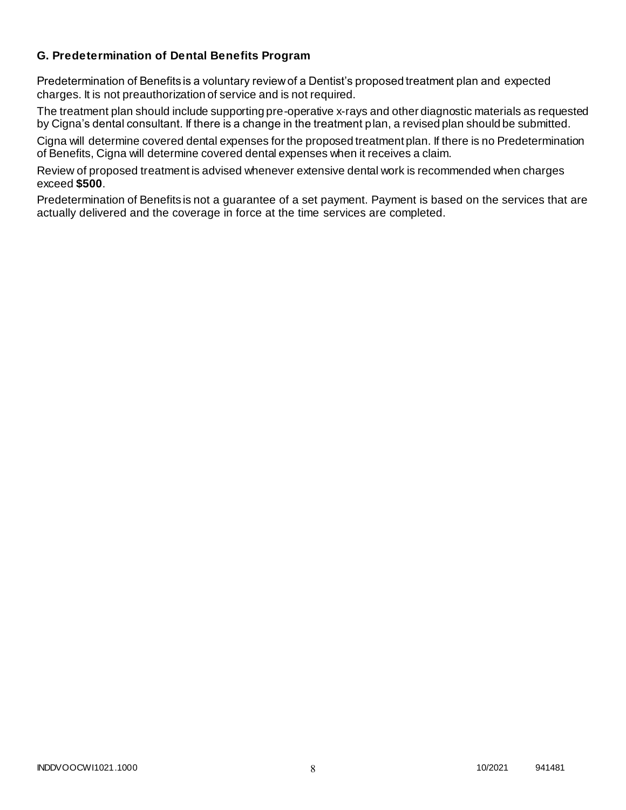### **G. Predetermination of Dental Benefits Program**

Predetermination of Benefits is a voluntary review of a Dentist's proposed treatment plan and expected charges. It is not preauthorization of service and is not required.

The treatment plan should include supporting pre-operative x-rays and other diagnostic materials as requested by Cigna's dental consultant. If there is a change in the treatment plan, a revised plan should be submitted.

Cigna will determine covered dental expenses for the proposed treatment plan. If there is no Predetermination of Benefits, Cigna will determine covered dental expenses when it receives a claim.

Review of proposed treatment is advised whenever extensive dental work is recommended when charges exceed **\$500**.

Predetermination of Benefits is not a guarantee of a set payment. Payment is based on the services that are actually delivered and the coverage in force at the time services are completed.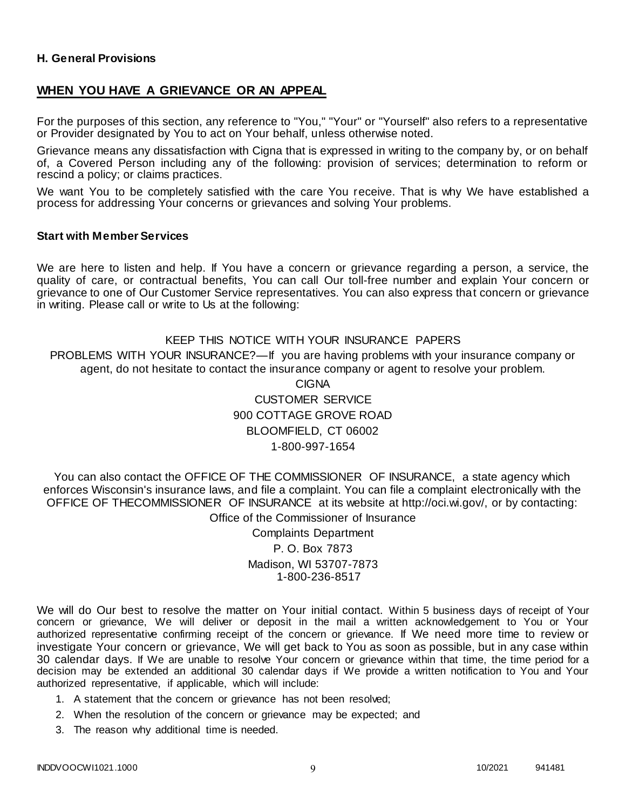#### **H. General Provisions**

### **WHEN YOU HAVE A GRIEVANCE OR AN APPEAL**

For the purposes of this section, any reference to "You," "Your" or "Yourself" also refers to a representative or Provider designated by You to act on Your behalf, unless otherwise noted.

Grievance means any dissatisfaction with Cigna that is expressed in writing to the company by, or on behalf of, a Covered Person including any of the following: provision of services; determination to reform or rescind a policy; or claims practices.

We want You to be completely satisfied with the care You receive. That is why We have established a process for addressing Your concerns or grievances and solving Your problems.

#### **Start with Member Services**

We are here to listen and help. If You have a concern or grievance regarding a person, a service, the quality of care, or contractual benefits, You can call Our toll-free number and explain Your concern or grievance to one of Our Customer Service representatives. You can also express that concern or grievance in writing. Please call or write to Us at the following:

#### KEEP THIS NOTICE WITH YOUR INSURANCE PAPERS

PROBLEMS WITH YOUR INSURANCE?—If you are having problems with your insurance company or agent, do not hesitate to contact the insurance company or agent to resolve your problem.

> CIGNA CUSTOMER SERVICE 900 COTTAGE GROVE ROAD BLOOMFIELD, CT 06002 1-800-997-1654

You can also contact the OFFICE OF THE COMMISSIONER OF INSURANCE, a state agency which enforces Wisconsin's insurance laws, and file a complaint. You can file a complaint electronically with the OFFICE OF THECOMMISSIONER OF INSURANCE at its website at http://oci.wi.gov/, or by contacting: Office of the Commissioner of Insurance

> Complaints Department P. O. Box 7873 Madison, WI 53707-7873 1-800-236-8517

We will do Our best to resolve the matter on Your initial contact. Within 5 business days of receipt of Your concern or grievance, We will deliver or deposit in the mail a written acknowledgement to You or Your authorized representative confirming receipt of the concern or grievance. If We need more time to review or investigate Your concern or grievance, We will get back to You as soon as possible, but in any case within 30 calendar days. If We are unable to resolve Your concern or grievance within that time, the time period for a decision may be extended an additional 30 calendar days if We provide a written notification to You and Your authorized representative, if applicable, which will include:

- 1. A statement that the concern or grievance has not been resolved;
- 2. When the resolution of the concern or grievance may be expected; and
- 3. The reason why additional time is needed.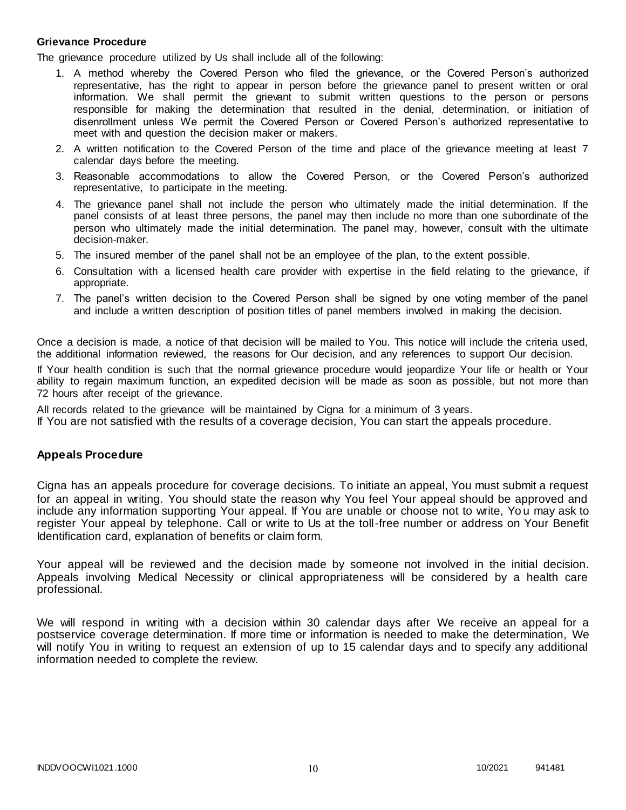#### **Grievance Procedure**

The grievance procedure utilized by Us shall include all of the following:

- 1. A method whereby the Covered Person who filed the grievance, or the Covered Person's authorized representative, has the right to appear in person before the grievance panel to present written or oral information. We shall permit the grievant to submit written questions to the person or persons responsible for making the determination that resulted in the denial, determination, or initiation of disenrollment unless We permit the Covered Person or Covered Person's authorized representative to meet with and question the decision maker or makers.
- 2. A written notification to the Covered Person of the time and place of the grievance meeting at least 7 calendar days before the meeting.
- 3. Reasonable accommodations to allow the Covered Person, or the Covered Person's authorized representative, to participate in the meeting.
- 4. The grievance panel shall not include the person who ultimately made the initial determination. If the panel consists of at least three persons, the panel may then include no more than one subordinate of the person who ultimately made the initial determination. The panel may, however, consult with the ultimate decision-maker.
- 5. The insured member of the panel shall not be an employee of the plan, to the extent possible.
- 6. Consultation with a licensed health care provider with expertise in the field relating to the grievance, if appropriate.
- 7. The panel's written decision to the Covered Person shall be signed by one voting member of the panel and include a written description of position titles of panel members involved in making the decision.

Once a decision is made, a notice of that decision will be mailed to You. This notice will include the criteria used, the additional information reviewed, the reasons for Our decision, and any references to support Our decision.

If Your health condition is such that the normal grievance procedure would jeopardize Your life or health or Your ability to regain maximum function, an expedited decision will be made as soon as possible, but not more than 72 hours after receipt of the grievance.

All records related to the grievance will be maintained by Cigna for a minimum of 3 years.

If You are not satisfied with the results of a coverage decision, You can start the appeals procedure.

#### **Appeals Procedure**

Cigna has an appeals procedure for coverage decisions. To initiate an appeal, You must submit a request for an appeal in writing. You should state the reason why You feel Your appeal should be approved and include any information supporting Your appeal. If You are unable or choose not to write, Yo u may ask to register Your appeal by telephone. Call or write to Us at the toll-free number or address on Your Benefit Identification card, explanation of benefits or claim form.

Your appeal will be reviewed and the decision made by someone not involved in the initial decision. Appeals involving Medical Necessity or clinical appropriateness will be considered by a health care professional.

We will respond in writing with a decision within 30 calendar days after We receive an appeal for a postservice coverage determination. If more time or information is needed to make the determination, We will notify You in writing to request an extension of up to 15 calendar days and to specify any additional information needed to complete the review.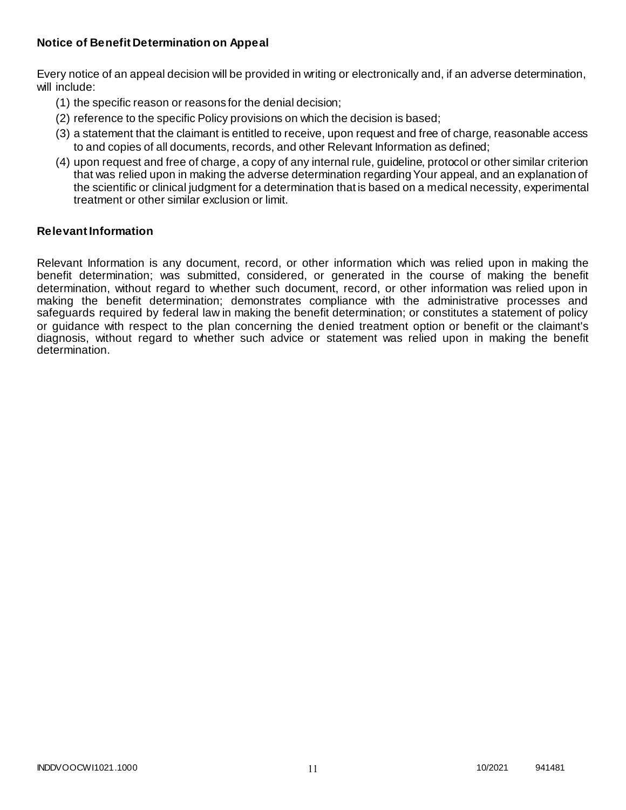### **Notice of Benefit Determination on Appeal**

Every notice of an appeal decision will be provided in writing or electronically and, if an adverse determination, will include:

- (1) the specific reason or reasons for the denial decision;
- (2) reference to the specific Policy provisions on which the decision is based;
- (3) a statement that the claimant is entitled to receive, upon request and free of charge, reasonable access to and copies of all documents, records, and other Relevant Information as defined;
- (4) upon request and free of charge, a copy of any internal rule, guideline, protocol or other similar criterion that was relied upon in making the adverse determination regarding Your appeal, and an explanation of the scientific or clinical judgment for a determination that is based on a medical necessity, experimental treatment or other similar exclusion or limit.

### **Relevant Information**

Relevant Information is any document, record, or other information which was relied upon in making the benefit determination; was submitted, considered, or generated in the course of making the benefit determination, without regard to whether such document, record, or other information was relied upon in making the benefit determination; demonstrates compliance with the administrative processes and safeguards required by federal law in making the benefit determination; or constitutes a statement of policy or guidance with respect to the plan concerning the denied treatment option or benefit or the claimant's diagnosis, without regard to whether such advice or statement was relied upon in making the benefit determination.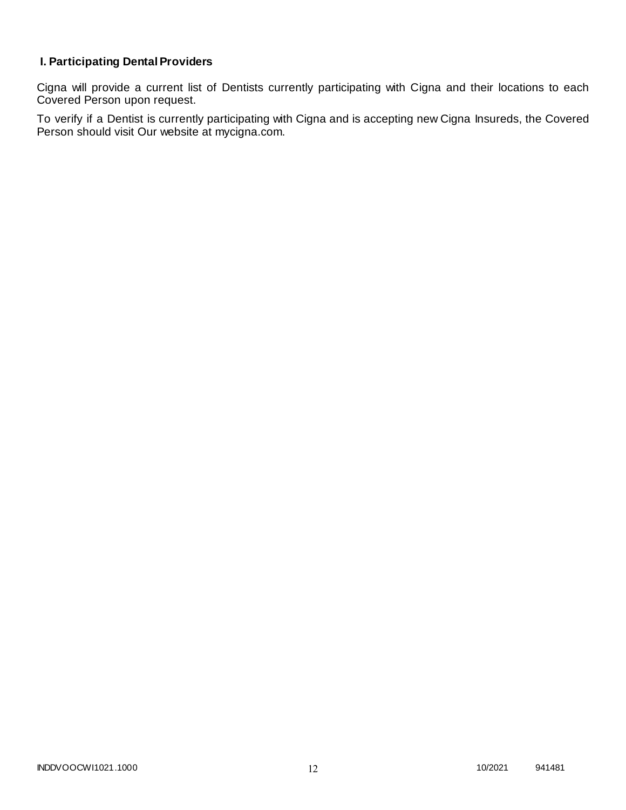# **I. Participating Dental Providers**

Cigna will provide a current list of Dentists currently participating with Cigna and their locations to each Covered Person upon request.

To verify if a Dentist is currently participating with Cigna and is accepting new Cigna Insureds, the Covered Person should visit Our website at mycigna.com.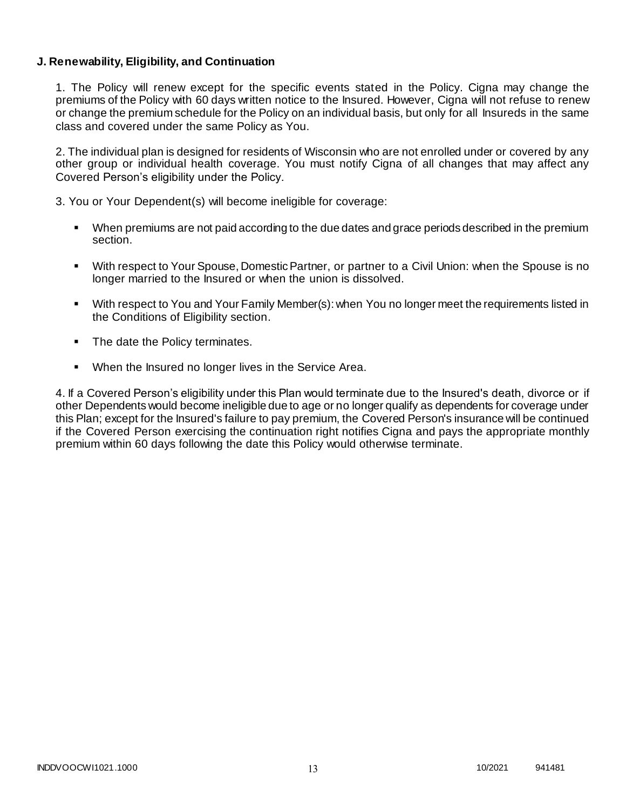### **J. Renewability, Eligibility, and Continuation**

1. The Policy will renew except for the specific events stated in the Policy. Cigna may change the premiums of the Policy with 60 days written notice to the Insured. However, Cigna will not refuse to renew or change the premium schedule for the Policy on an individual basis, but only for all Insureds in the same class and covered under the same Policy as You.

2. The individual plan is designed for residents of Wisconsin who are not enrolled under or covered by any other group or individual health coverage. You must notify Cigna of all changes that may affect any Covered Person's eligibility under the Policy.

3. You or Your Dependent(s) will become ineligible for coverage:

- When premiums are not paid according to the due dates and grace periods described in the premium section.
- With respect to Your Spouse, Domestic Partner, or partner to a Civil Union: when the Spouse is no longer married to the Insured or when the union is dissolved.
- With respect to You and Your Family Member(s): when You no longer meet the requirements listed in the Conditions of Eligibility section.
- The date the Policy terminates.
- When the Insured no longer lives in the Service Area.

4. If a Covered Person's eligibility under this Plan would terminate due to the Insured's death, divorce or if other Dependents would become ineligible due to age or no longer qualify as dependents for coverage under this Plan; except for the Insured's failure to pay premium, the Covered Person's insurance will be continued if the Covered Person exercising the continuation right notifies Cigna and pays the appropriate monthly premium within 60 days following the date this Policy would otherwise terminate.